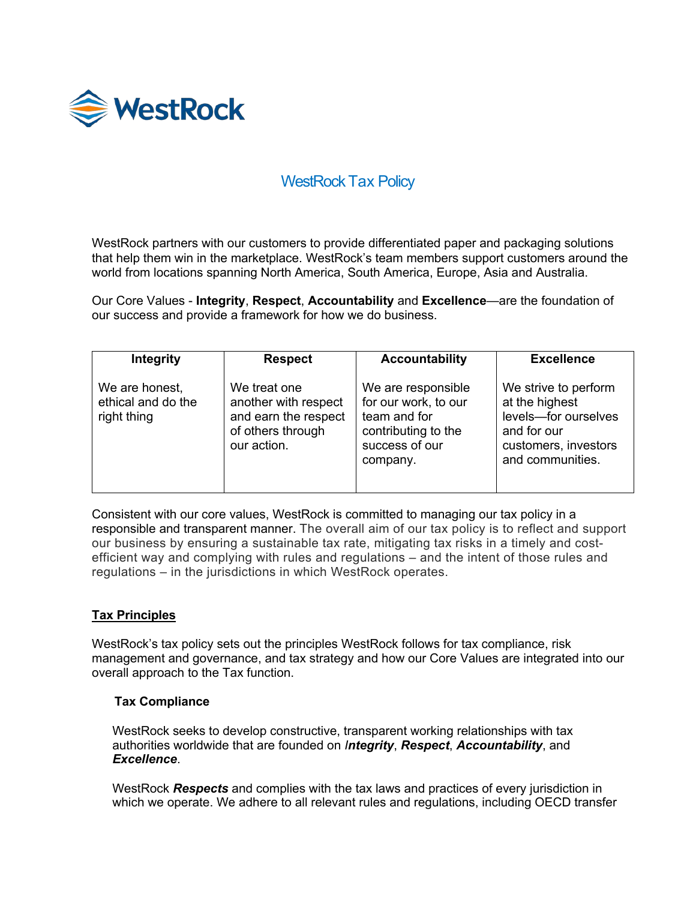

# WestRock Tax Policy

WestRock partners with our customers to provide differentiated paper and packaging solutions that help them win in the marketplace. WestRock's team members support customers around the world from locations spanning North America, South America, Europe, Asia and Australia.

Our Core Values - **Integrity**, **Respect**, **Accountability** and **Excellence**—are the foundation of our success and provide a framework for how we do business.

| <b>Integrity</b>                                    | <b>Respect</b>                                                                                   | <b>Accountability</b>                                                                                           | <b>Excellence</b>                                                                                                         |
|-----------------------------------------------------|--------------------------------------------------------------------------------------------------|-----------------------------------------------------------------------------------------------------------------|---------------------------------------------------------------------------------------------------------------------------|
| We are honest,<br>ethical and do the<br>right thing | We treat one<br>another with respect<br>and earn the respect<br>of others through<br>our action. | We are responsible<br>for our work, to our<br>team and for<br>contributing to the<br>success of our<br>company. | We strive to perform<br>at the highest<br>levels-for ourselves<br>and for our<br>customers, investors<br>and communities. |

Consistent with our core values, WestRock is committed to managing our tax policy in a responsible and transparent manner. The overall aim of our tax policy is to reflect and support our business by ensuring a sustainable tax rate, mitigating tax risks in a timely and costefficient way and complying with rules and regulations – and the intent of those rules and regulations – in the jurisdictions in which WestRock operates.

## **Tax Principles**

WestRock's tax policy sets out the principles WestRock follows for tax compliance, risk management and governance, and tax strategy and how our Core Values are integrated into our overall approach to the Tax function.

## **Tax Compliance**

WestRock seeks to develop constructive, transparent working relationships with tax authorities worldwide that are founded on *Integrity*, *Respect*, *Accountability*, and *Excellence*.

WestRock *Respects* and complies with the tax laws and practices of every jurisdiction in which we operate. We adhere to all relevant rules and regulations, including OECD transfer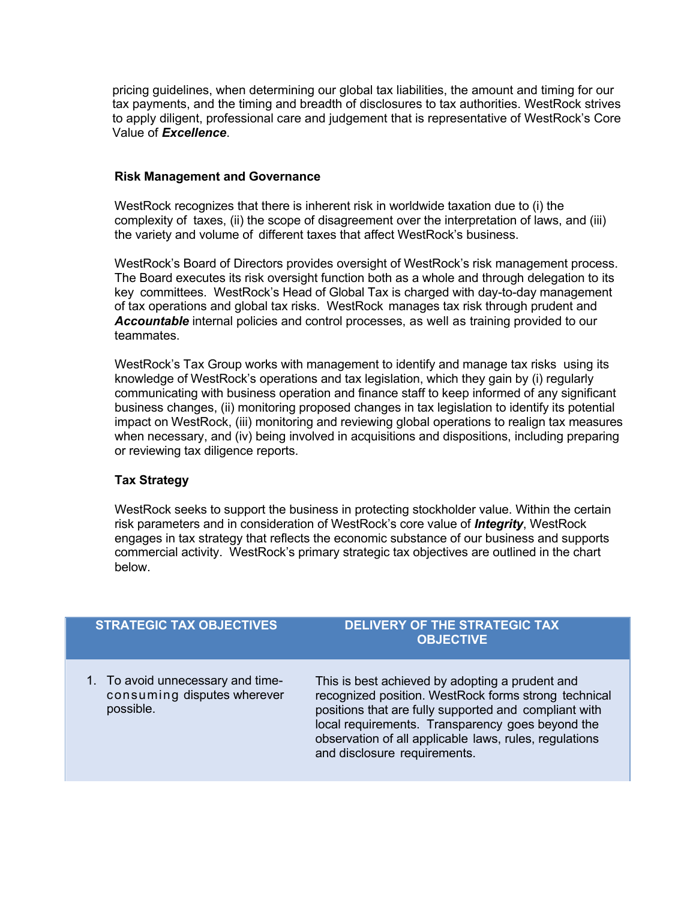pricing guidelines, when determining our global tax liabilities, the amount and timing for our tax payments, and the timing and breadth of disclosures to tax authorities. WestRock strives to apply diligent, professional care and judgement that is representative of WestRock's Core Value of *Excellence*.

#### **Risk Management and Governance**

WestRock recognizes that there is inherent risk in worldwide taxation due to (i) the complexity of taxes, (ii) the scope of disagreement over the interpretation of laws, and (iii) the variety and volume of different taxes that affect WestRock's business.

WestRock's Board of Directors provides oversight of WestRock's risk management process. The Board executes its risk oversight function both as a whole and through delegation to its key committees. WestRock's Head of Global Tax is charged with day-to-day management of tax operations and global tax risks. WestRock manages tax risk through prudent and *Accountable* internal policies and control processes, as well as training provided to our teammates.

WestRock's Tax Group works with management to identify and manage tax risks using its knowledge of WestRock's operations and tax legislation, which they gain by (i) regularly communicating with business operation and finance staff to keep informed of any significant business changes, (ii) monitoring proposed changes in tax legislation to identify its potential impact on WestRock, (iii) monitoring and reviewing global operations to realign tax measures when necessary, and (iv) being involved in acquisitions and dispositions, including preparing or reviewing tax diligence reports.

## **Tax Strategy**

WestRock seeks to support the business in protecting stockholder value. Within the certain risk parameters and in consideration of WestRock's core value of *Integrity*, WestRock engages in tax strategy that reflects the economic substance of our business and supports commercial activity. WestRock's primary strategic tax objectives are outlined in the chart below.

# **STRATEGIC TAX OBJECTIVES DELIVERY OF THE STRATEGIC TAX OBJECTIVE** 1. To avoid unnecessary and timeconsuming disputes wherever possible. This is best achieved by adopting a prudent and recognized position. WestRock forms strong technical positions that are fully supported and compliant with local requirements. Transparency goes beyond the observation of all applicable laws, rules, regulations and disclosure requirements.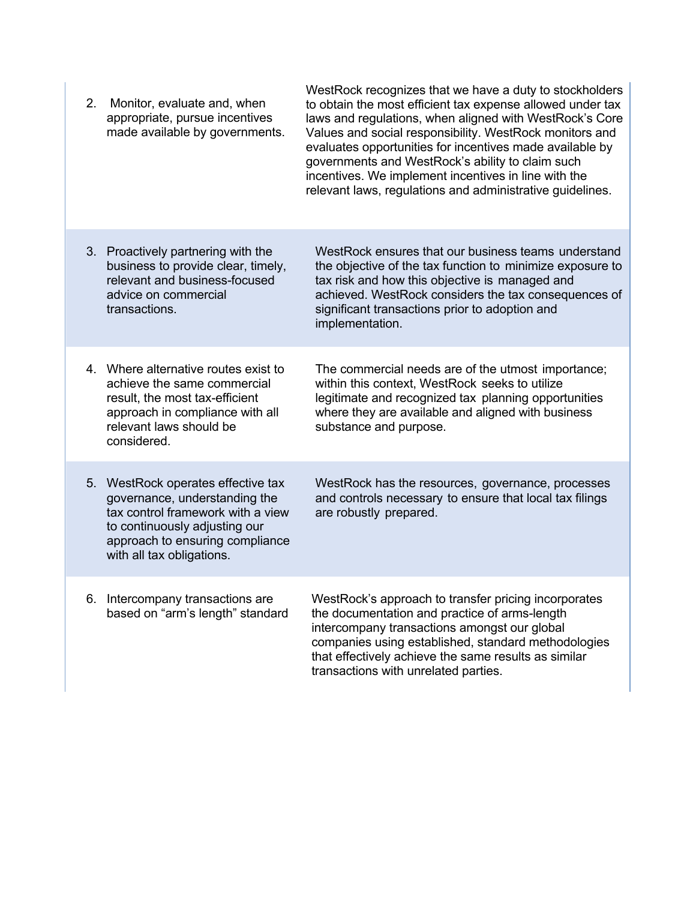| 2. | Monitor, evaluate and, when<br>appropriate, pursue incentives<br>made available by governments.                                                                                                        | WestRock recognizes that we have a duty to stockholders<br>to obtain the most efficient tax expense allowed under tax<br>laws and regulations, when aligned with WestRock's Core<br>Values and social responsibility. WestRock monitors and<br>evaluates opportunities for incentives made available by<br>governments and WestRock's ability to claim such<br>incentives. We implement incentives in line with the<br>relevant laws, regulations and administrative guidelines. |
|----|--------------------------------------------------------------------------------------------------------------------------------------------------------------------------------------------------------|----------------------------------------------------------------------------------------------------------------------------------------------------------------------------------------------------------------------------------------------------------------------------------------------------------------------------------------------------------------------------------------------------------------------------------------------------------------------------------|
|    | 3. Proactively partnering with the<br>business to provide clear, timely,<br>relevant and business-focused<br>advice on commercial<br>transactions.                                                     | WestRock ensures that our business teams understand<br>the objective of the tax function to minimize exposure to<br>tax risk and how this objective is managed and<br>achieved. WestRock considers the tax consequences of<br>significant transactions prior to adoption and<br>implementation.                                                                                                                                                                                  |
|    | 4. Where alternative routes exist to<br>achieve the same commercial<br>result, the most tax-efficient<br>approach in compliance with all<br>relevant laws should be<br>considered.                     | The commercial needs are of the utmost importance;<br>within this context, WestRock seeks to utilize<br>legitimate and recognized tax planning opportunities<br>where they are available and aligned with business<br>substance and purpose.                                                                                                                                                                                                                                     |
| 5. | WestRock operates effective tax<br>governance, understanding the<br>tax control framework with a view<br>to continuously adjusting our<br>approach to ensuring compliance<br>with all tax obligations. | WestRock has the resources, governance, processes<br>and controls necessary to ensure that local tax filings<br>are robustly prepared.                                                                                                                                                                                                                                                                                                                                           |
| 6. | Intercompany transactions are<br>based on "arm's length" standard                                                                                                                                      | WestRock's approach to transfer pricing incorporates<br>the documentation and practice of arms-length<br>intercompany transactions amongst our global<br>companies using established, standard methodologies<br>that effectively achieve the same results as similar<br>transactions with unrelated parties.                                                                                                                                                                     |